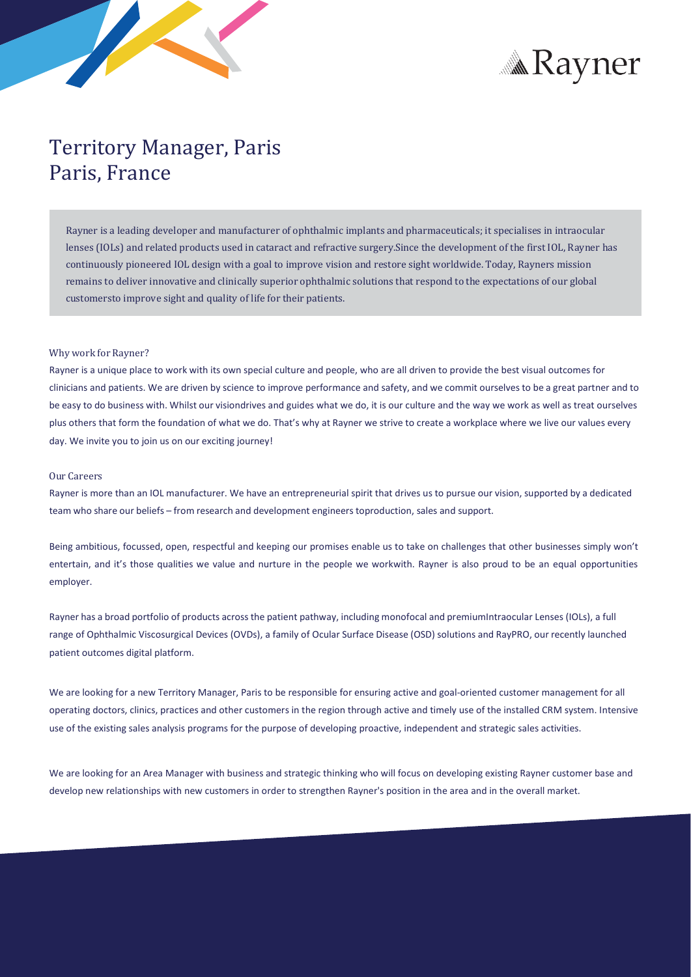



## Territory Manager, Paris Paris, France

Rayner is a leading developer and manufacturer of ophthalmic implants and pharmaceuticals; it specialises in intraocular lenses (IOLs) and related products used in cataract and refractive surgery.Since the development of the first IOL, Rayner has continuously pioneered IOL design with a goal to improve vision and restore sight worldwide. Today, Rayners mission remains to deliver innovative and clinically superior ophthalmic solutions that respond to the expectations of our global customersto improve sight and quality of life for their patients.

## Why work for Rayner?

Rayner is a unique place to work with its own special culture and people, who are all driven to provide the best visual outcomes for clinicians and patients. We are driven by science to improve performance and safety, and we commit ourselves to be a great partner and to be easy to do business with. Whilst our visiondrives and guides what we do, it is our culture and the way we work as well as treat ourselves plus others that form the foundation of what we do. That's why at Rayner we strive to create a workplace where we live our values every day. We invite you to join us on our exciting journey!

## Our Careers

Rayner is more than an IOL manufacturer. We have an entrepreneurial spirit that drives us to pursue our vision, supported by a dedicated team who share our beliefs – from research and development engineerstoproduction, sales and support.

Being ambitious, focussed, open, respectful and keeping our promises enable us to take on challenges that other businesses simply won't entertain, and it's those qualities we value and nurture in the people we workwith. Rayner is also proud to be an equal opportunities employer.

Rayner has a broad portfolio of products acrossthe patient pathway, including monofocal and premiumIntraocular Lenses (IOLs), a full range of Ophthalmic Viscosurgical Devices (OVDs), a family of Ocular Surface Disease (OSD) solutions and RayPRO, our recently launched patient outcomes digital platform.

We are looking for a new Territory Manager, Paris to be responsible for ensuring active and goal-oriented customer management for all operating doctors, clinics, practices and other customers in the region through active and timely use of the installed CRM system. Intensive use of the existing sales analysis programs for the purpose of developing proactive, independent and strategic sales activities.

We are looking for an Area Manager with business and strategic thinking who will focus on developing existing Rayner customer base and develop new relationships with new customers in order to strengthen Rayner's position in the area and in the overall market.